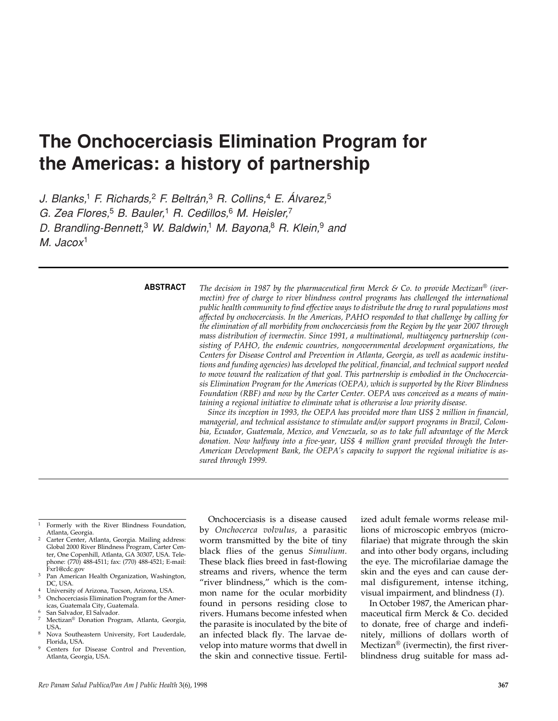# **The Onchocerciasis Elimination Program for the Americas: a history of partnership**

*J. Blanks,*<sup>1</sup> *F. Richards,*<sup>2</sup> *F. Beltrán,*<sup>3</sup> *R. Collins,*<sup>4</sup> *E. Álvarez,*<sup>5</sup>

*G. Zea Flores,*<sup>5</sup> *B. Bauler,*<sup>1</sup> *R. Cedillos,*<sup>6</sup> *M. Heisler,*<sup>7</sup>

*D. Brandling-Bennett,*<sup>3</sup> *W. Baldwin,*<sup>1</sup> *M. Bayona,*<sup>8</sup> *R. Klein,*<sup>9</sup> *and* 

*M. Jacox*<sup>1</sup>

### **ABSTRACT**

*The decision in 1987 by the pharmaceutical firm Merck & Co. to provide Mectizan® (ivermectin) free of charge to river blindness control programs has challenged the international public health community to find effective ways to distribute the drug to rural populations most affected by onchocerciasis. In the Americas, PAHO responded to that challenge by calling for the elimination of all morbidity from onchocerciasis from the Region by the year 2007 through mass distribution of ivermectin. Since 1991, a multinational, multiagency partnership (consisting of PAHO, the endemic countries, nongovernmental development organizations, the Centers for Disease Control and Prevention in Atlanta, Georgia, as well as academic institutions and funding agencies) has developed the political, financial, and technical support needed to move toward the realization of that goal. This partnership is embodied in the Onchocerciasis Elimination Program for the Americas (OEPA), which is supported by the River Blindness Foundation (RBF) and now by the Carter Center. OEPA was conceived as a means of maintaining a regional initiative to eliminate what is otherwise a low priority disease.* 

*Since its inception in 1993, the OEPA has provided more than US\$ 2 million in financial, managerial, and technical assistance to stimulate and/or support programs in Brazil, Colombia, Ecuador, Guatemala, Mexico, and Venezuela, so as to take full advantage of the Merck donation. Now halfway into a five-year, US\$ 4 million grant provided through the Inter-American Development Bank, the OEPA's capacity to support the regional initiative is assured through 1999.*

- <sup>3</sup> Pan American Health Organization, Washington, DC, USA.
- <sup>4</sup> University of Arizona, Tucson, Arizona, USA.<br><sup>5</sup> Openocorrises Elimination Program for the A <sup>5</sup> Onchocerciasis Elimination Program for the Amer-
- icas, Guatemala City, Guatemala. <sup>6</sup> San Salvador, El Salvador.<br><sup>7</sup> Moctizan<sup>®</sup> Donation Prog
- Mectizan<sup>®</sup> Donation Program, Atlanta, Georgia, USA**.**
- Nova Southeastern University, Fort Lauderdale, Florida, USA.
- Centers for Disease Control and Prevention, Atlanta, Georgia, USA.

Onchocerciasis is a disease caused by *Onchocerca volvulus,* a parasitic worm transmitted by the bite of tiny black flies of the genus *Simulium.* These black flies breed in fast-flowing streams and rivers, whence the term "river blindness," which is the common name for the ocular morbidity found in persons residing close to rivers. Humans become infested when the parasite is inoculated by the bite of an infected black fly. The larvae develop into mature worms that dwell in the skin and connective tissue. Fertilized adult female worms release millions of microscopic embryos (microfilariae) that migrate through the skin and into other body organs, including the eye. The microfilariae damage the skin and the eyes and can cause dermal disfigurement, intense itching, visual impairment, and blindness (*1*).

In October 1987, the American pharmaceutical firm Merck & Co. decided to donate, free of charge and indefinitely, millions of dollars worth of Mectizan® (ivermectin), the first riverblindness drug suitable for mass ad-

<sup>1</sup> Formerly with the River Blindness Foundation, Atlanta, Georgia.

Carter Center, Atlanta, Georgia. Mailing address: Global 2000 River Blindness Program, Carter Center, One Copenhill, Atlanta, GA 30307, USA. Telephone: (770) 488-4511; fax: (770) 488-4521; E-mail: Fxr1@cdc.gov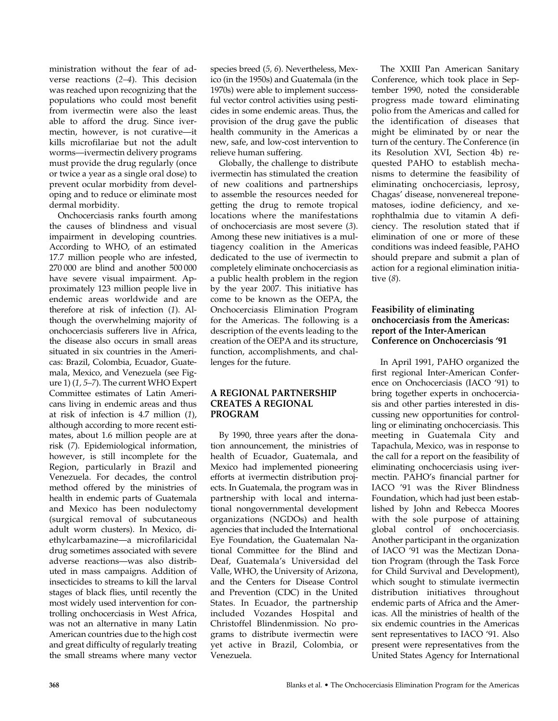ministration without the fear of adverse reactions (*2–4*). This decision was reached upon recognizing that the populations who could most benefit from ivermectin were also the least able to afford the drug. Since ivermectin, however, is not curative—it kills microfilariae but not the adult worms—ivermectin delivery programs must provide the drug regularly (once or twice a year as a single oral dose) to prevent ocular morbidity from developing and to reduce or eliminate most dermal morbidity.

Onchocerciasis ranks fourth among the causes of blindness and visual impairment in developing countries. According to WHO, of an estimated 17.7 million people who are infested, 270 000 are blind and another 500 000 have severe visual impairment. Approximately 123 million people live in endemic areas worldwide and are therefore at risk of infection (*1*). Although the overwhelming majority of onchocerciasis sufferers live in Africa, the disease also occurs in small areas situated in six countries in the Americas: Brazil, Colombia, Ecuador, Guatemala, Mexico, and Venezuela (see Figure 1) (*1, 5–7*). The current WHO Expert Committee estimates of Latin Americans living in endemic areas and thus at risk of infection is 4.7 million (*1*), although according to more recent estimates, about 1.6 million people are at risk (*7*). Epidemiological information, however, is still incomplete for the Region, particularly in Brazil and Venezuela. For decades, the control method offered by the ministries of health in endemic parts of Guatemala and Mexico has been nodulectomy (surgical removal of subcutaneous adult worm clusters). In Mexico, diethylcarbamazine—a microfilaricidal drug sometimes associated with severe adverse reactions—was also distributed in mass campaigns. Addition of insecticides to streams to kill the larval stages of black flies, until recently the most widely used intervention for controlling onchocerciasis in West Africa, was not an alternative in many Latin American countries due to the high cost and great difficulty of regularly treating the small streams where many vector

species breed (*5, 6*). Nevertheless, Mexico (in the 1950s) and Guatemala (in the 1970s) were able to implement successful vector control activities using pesticides in some endemic areas. Thus, the provision of the drug gave the public health community in the Americas a new, safe, and low-cost intervention to relieve human suffering.

Globally, the challenge to distribute ivermectin has stimulated the creation of new coalitions and partnerships to assemble the resources needed for getting the drug to remote tropical locations where the manifestations of onchocerciasis are most severe (*3*). Among these new initiatives is a multiagency coalition in the Americas dedicated to the use of ivermectin to completely eliminate onchocerciasis as a public health problem in the region by the year 2007. This initiative has come to be known as the OEPA, the Onchocerciasis Elimination Program for the Americas. The following is a description of the events leading to the creation of the OEPA and its structure, function, accomplishments, and challenges for the future.

## **A REGIONAL PARTNERSHIP CREATES A REGIONAL PROGRAM**

By 1990, three years after the donation announcement, the ministries of health of Ecuador, Guatemala, and Mexico had implemented pioneering efforts at ivermectin distribution projects. In Guatemala, the program was in partnership with local and international nongovernmental development organizations (NGDOs) and health agencies that included the International Eye Foundation, the Guatemalan National Committee for the Blind and Deaf, Guatemala's Universidad del Valle, WHO, the University of Arizona, and the Centers for Disease Control and Prevention (CDC) in the United States. In Ecuador, the partnership included Vozandes Hospital and Christoffel Blindenmission. No programs to distribute ivermectin were yet active in Brazil, Colombia, or Venezuela.

The XXIII Pan American Sanitary Conference, which took place in September 1990, noted the considerable progress made toward eliminating polio from the Americas and called for the identification of diseases that might be eliminated by or near the turn of the century. The Conference (in its Resolution XVI, Section 4b) requested PAHO to establish mechanisms to determine the feasibility of eliminating onchocerciasis, leprosy, Chagas' disease, nonvenereal treponematoses, iodine deficiency, and xerophthalmia due to vitamin A deficiency. The resolution stated that if elimination of one or more of these conditions was indeed feasible, PAHO should prepare and submit a plan of action for a regional elimination initiative (*8*).

## **Feasibility of eliminating onchocerciasis from the Americas: report of the Inter-American Conference on Onchocerciasis '91**

In April 1991, PAHO organized the first regional Inter-American Conference on Onchocerciasis (IACO '91) to bring together experts in onchocerciasis and other parties interested in discussing new opportunities for controlling or eliminating onchocerciasis. This meeting in Guatemala City and Tapachula, Mexico, was in response to the call for a report on the feasibility of eliminating onchocerciasis using ivermectin. PAHO's financial partner for IACO '91 was the River Blindness Foundation, which had just been established by John and Rebecca Moores with the sole purpose of attaining global control of onchocerciasis. Another participant in the organization of IACO '91 was the Mectizan Donation Program (through the Task Force for Child Survival and Development), which sought to stimulate ivermectin distribution initiatives throughout endemic parts of Africa and the Americas. All the ministries of health of the six endemic countries in the Americas sent representatives to IACO '91. Also present were representatives from the United States Agency for International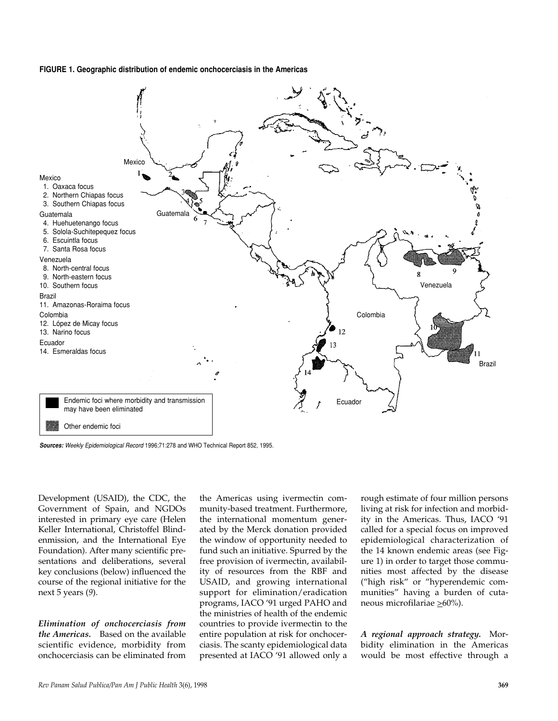#### **FIGURE 1. Geographic distribution of endemic onchocerciasis in the Americas**



*Sources: Weekly Epidemiological Record* 1996;71:278 and WHO Technical Report 852, 1995.

Development (USAID), the CDC, the Government of Spain, and NGDOs interested in primary eye care (Helen Keller International, Christoffel Blindenmission, and the International Eye Foundation). After many scientific presentations and deliberations, several key conclusions (below) influenced the course of the regional initiative for the next 5 years (*9*).

*Elimination of onchocerciasis from the Americas.* Based on the available scientific evidence, morbidity from onchocerciasis can be eliminated from

the Americas using ivermectin community-based treatment. Furthermore, the international momentum generated by the Merck donation provided the window of opportunity needed to fund such an initiative. Spurred by the free provision of ivermectin, availability of resources from the RBF and USAID, and growing international support for elimination/eradication programs, IACO '91 urged PAHO and the ministries of health of the endemic countries to provide ivermectin to the entire population at risk for onchocerciasis. The scanty epidemiological data presented at IACO '91 allowed only a

rough estimate of four million persons living at risk for infection and morbidity in the Americas. Thus, IACO '91 called for a special focus on improved epidemiological characterization of the 14 known endemic areas (see Figure 1) in order to target those communities most affected by the disease ("high risk" or "hyperendemic communities" having a burden of cutaneous microfilariae >60%).

*A regional approach strategy.* Morbidity elimination in the Americas would be most effective through a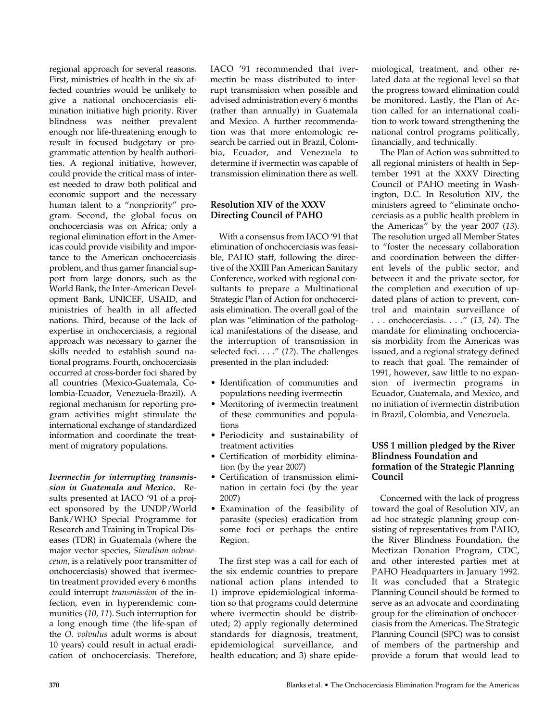regional approach for several reasons. First, ministries of health in the six affected countries would be unlikely to give a national onchocerciasis elimination initiative high priority. River blindness was neither prevalent enough nor life-threatening enough to result in focused budgetary or programmatic attention by health authorities. A regional initiative, however, could provide the critical mass of interest needed to draw both political and economic support and the necessary human talent to a "nonpriority" program. Second, the global focus on onchocerciasis was on Africa; only a regional elimination effort in the Americas could provide visibility and importance to the American onchocerciasis problem, and thus garner financial support from large donors, such as the World Bank, the Inter-American Development Bank, UNICEF, USAID, and ministries of health in all affected nations. Third, because of the lack of expertise in onchocerciasis, a regional approach was necessary to garner the skills needed to establish sound national programs. Fourth, onchocerciasis occurred at cross-border foci shared by all countries (Mexico-Guatemala, Colombia-Ecuador, Venezuela-Brazil). A regional mechanism for reporting program activities might stimulate the international exchange of standardized information and coordinate the treatment of migratory populations.

*Ivermectin for interrupting transmission in Guatemala and Mexico.* Results presented at IACO '91 of a project sponsored by the UNDP/World Bank/WHO Special Programme for Research and Training in Tropical Diseases (TDR) in Guatemala (where the major vector species, *Simulium ochraeceum*, is a relatively poor transmitter of onchocerciasis) showed that ivermectin treatment provided every 6 months could interrupt *transmission* of the infection, even in hyperendemic communities (*10, 11*). Such interruption for a long enough time (the life-span of the *O. volvulus* adult worms is about 10 years) could result in actual eradication of onchocerciasis. Therefore,

IACO '91 recommended that ivermectin be mass distributed to interrupt transmission when possible and advised administration every 6 months (rather than annually) in Guatemala and Mexico. A further recommendation was that more entomologic research be carried out in Brazil, Colombia, Ecuador, and Venezuela to determine if ivermectin was capable of transmission elimination there as well.

## **Resolution XIV of the XXXV Directing Council of PAHO**

With a consensus from IACO '91 that elimination of onchocerciasis was feasible, PAHO staff, following the directive of the XXIII Pan American Sanitary Conference, worked with regional consultants to prepare a Multinational Strategic Plan of Action for onchocerciasis elimination. The overall goal of the plan was "elimination of the pathological manifestations of the disease, and the interruption of transmission in selected foci. . . ." (*12*). The challenges presented in the plan included:

- Identification of communities and populations needing ivermectin
- Monitoring of ivermectin treatment of these communities and populations
- Periodicity and sustainability of treatment activities
- Certification of morbidity elimination (by the year 2007)
- Certification of transmission elimination in certain foci (by the year 2007)
- Examination of the feasibility of parasite (species) eradication from some foci or perhaps the entire Region.

The first step was a call for each of the six endemic countries to prepare national action plans intended to 1) improve epidemiological information so that programs could determine where ivermectin should be distributed; 2) apply regionally determined standards for diagnosis, treatment, epidemiological surveillance, and health education; and 3) share epidemiological, treatment, and other related data at the regional level so that the progress toward elimination could be monitored. Lastly, the Plan of Action called for an international coalition to work toward strengthening the national control programs politically, financially, and technically.

The Plan of Action was submitted to all regional ministers of health in September 1991 at the XXXV Directing Council of PAHO meeting in Washington, D.C. In Resolution XIV, the ministers agreed to "eliminate onchocerciasis as a public health problem in the Americas" by the year 2007 (*13*). The resolution urged all Member States to "foster the necessary collaboration and coordination between the different levels of the public sector, and between it and the private sector, for the completion and execution of updated plans of action to prevent, control and maintain surveillance of . . . onchocerciasis. . . ." (*13, 14*). The mandate for eliminating onchocerciasis morbidity from the Americas was issued, and a regional strategy defined to reach that goal. The remainder of 1991, however, saw little to no expansion of ivermectin programs in Ecuador, Guatemala, and Mexico, and no initiation of ivermectin distribution in Brazil, Colombia, and Venezuela.

## **US\$ 1 million pledged by the River Blindness Foundation and formation of the Strategic Planning Council**

Concerned with the lack of progress toward the goal of Resolution XIV, an ad hoc strategic planning group consisting of representatives from PAHO, the River Blindness Foundation, the Mectizan Donation Program, CDC, and other interested parties met at PAHO Headquarters in January 1992. It was concluded that a Strategic Planning Council should be formed to serve as an advocate and coordinating group for the elimination of onchocerciasis from the Americas. The Strategic Planning Council (SPC) was to consist of members of the partnership and provide a forum that would lead to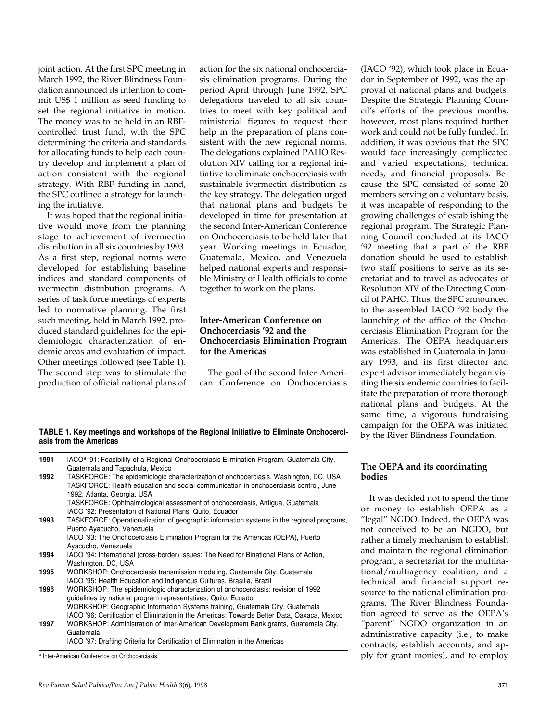joint action. At the first SPC meeting in March 1992, the River Blindness Foundation announced its intention to commit US\$ 1 million as seed funding to set the regional initiative in motion. The money was to be held in an RBFcontrolled trust fund, with the SPC determining the criteria and standards for allocating funds to help each country develop and implement a plan of action consistent with the regional strategy. With RBF funding in hand, the SPC outlined a strategy for launching the initiative.

It was hoped that the regional initiative would move from the planning stage to achievement of ivermectin distribution in all six countries by 1993. As a first step, regional norms were developed for establishing baseline indices and standard components of ivermectin distribution programs. A series of task force meetings of experts led to normative planning. The first such meeting, held in March 1992, produced standard guidelines for the epidemiologic characterization of endemic areas and evaluation of impact. Other meetings followed (see Table 1). The second step was to stimulate the production of official national plans of action for the six national onchocerciasis elimination programs. During the period April through June 1992, SPC delegations traveled to all six countries to meet with key political and ministerial figures to request their help in the preparation of plans consistent with the new regional norms. The delegations explained PAHO Resolution XIV calling for a regional initiative to eliminate onchocerciasis with sustainable ivermectin distribution as the key strategy. The delegation urged that national plans and budgets be developed in time for presentation at the second Inter-American Conference on Onchocerciasis to be held later that year. Working meetings in Ecuador, Guatemala, Mexico, and Venezuela helped national experts and responsible Ministry of Health officials to come together to work on the plans.

## **Inter-American Conference on Onchocerciasis '92 and the Onchocerciasis Elimination Program for the Americas**

The goal of the second Inter-American Conference on Onchocerciasis

**TABLE 1. Key meetings and workshops of the Regional Initiative to Eliminate Onchocerciasis from the Americas**

| 1991 | IACO <sup>a</sup> '91: Feasibility of a Regional Onchocerciasis Elimination Program, Guatemala City,                                                                                                        |
|------|-------------------------------------------------------------------------------------------------------------------------------------------------------------------------------------------------------------|
|      | Guatemala and Tapachula, Mexico                                                                                                                                                                             |
| 1992 | TASKFORCE: The epidemiologic characterization of onchocerciasis, Washington, DC, USA<br>TASKFORCE: Health education and social communication in onchocerciasis control, June<br>1992, Atlanta, Georgia, USA |
|      | TASKFORCE: Ophthalmological assessment of onchocerciasis, Antigua, Guatemala<br>IACO '92: Presentation of National Plans, Quito, Ecuador                                                                    |
| 1993 | TASKFORCE: Operationalization of geographic information systems in the regional programs,<br>Puerto Ayacucho, Venezuela                                                                                     |
|      | IACO '93: The Onchocerciasis Elimination Program for the Americas (OEPA), Puerto<br>Ayacucho, Venezuela                                                                                                     |
| 1994 | IACO '94: International (cross-border) issues: The Need for Binational Plans of Action,<br>Washington, DC, USA                                                                                              |
| 1995 | WORKSHOP: Onchocerciasis transmission modeling, Guatemala City, Guatemala<br>IACO '95: Health Education and Indigenous Cultures, Brasilia, Brazil                                                           |
| 1996 | WORKSHOP: The epidemiologic characterization of onchocerciasis: revision of 1992<br>guidelines by national program representatives, Quito, Ecuador                                                          |
|      | WORKSHOP: Geographic Information Systems training, Guatemala City, Guatemala<br>IACO '96: Certification of Elimination in the Americas: Towards Better Data, Oaxaca, Mexico                                 |
| 1997 | WORKSHOP: Administration of Inter-American Development Bank grants, Guatemala City,<br>Guatemala                                                                                                            |

IACO '97: Drafting Criteria for Certification of Elimination in the Americas

(IACO '92), which took place in Ecuador in September of 1992, was the approval of national plans and budgets. Despite the Strategic Planning Council's efforts of the previous months, however, most plans required further work and could not be fully funded. In addition, it was obvious that the SPC would face increasingly complicated and varied expectations, technical needs, and financial proposals. Because the SPC consisted of some 20 members serving on a voluntary basis, it was incapable of responding to the growing challenges of establishing the regional program. The Strategic Planning Council concluded at its IACO '92 meeting that a part of the RBF donation should be used to establish two staff positions to serve as its secretariat and to travel as advocates of Resolution XIV of the Directing Council of PAHO. Thus, the SPC announced to the assembled IACO '92 body the launching of the office of the Onchocerciasis Elimination Program for the Americas. The OEPA headquarters was established in Guatemala in January 1993, and its first director and expert advisor immediately began visiting the six endemic countries to facilitate the preparation of more thorough national plans and budgets. At the same time, a vigorous fundraising campaign for the OEPA was initiated by the River Blindness Foundation.

#### **The OEPA and its coordinating bodies**

It was decided not to spend the time or money to establish OEPA as a "legal" NGDO. Indeed, the OEPA was not conceived to be an NGDO, but rather a timely mechanism to establish and maintain the regional elimination program, a secretariat for the multinational/multiagency coalition, and a technical and financial support resource to the national elimination programs. The River Blindness Foundation agreed to serve as the OEPA's "parent" NGDO organization in an administrative capacity (i.e., to make contracts, establish accounts, and apply for grant monies), and to employ

<sup>a</sup> Inter-American Conference on Onchocerciasis.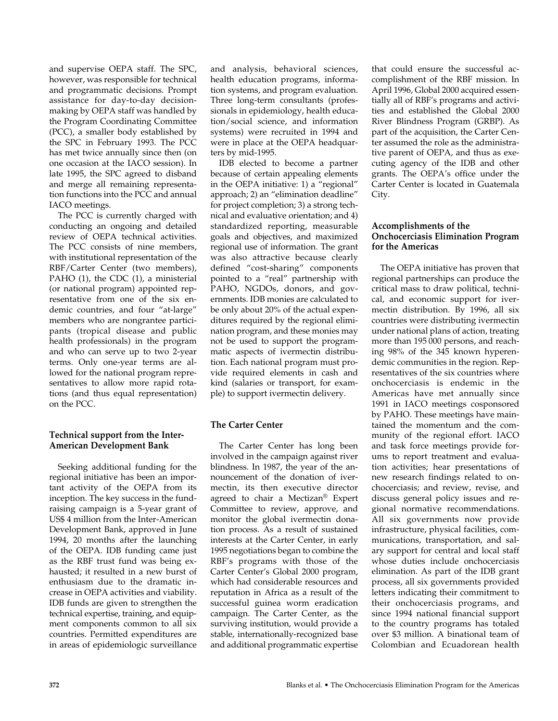and supervise OEPA staff. The SPC, however, was responsible for technical and programmatic decisions. Prompt assistance for day-to-day decisionmaking by OEPA staff was handled by the Program Coordinating Committee (PCC), a smaller body established by the SPC in February 1993. The PCC has met twice annually since then (on one occasion at the IACO session). In late 1995, the SPC agreed to disband and merge all remaining representation functions into the PCC and annual IACO meetings.

The PCC is currently charged with conducting an ongoing and detailed review of OEPA technical activities. The PCC consists of nine members, with institutional representation of the RBF/Carter Center (two members), PAHO (1), the CDC (1), a ministerial (or national program) appointed representative from one of the six endemic countries, and four "at-large" members who are nongrantee participants (tropical disease and public health professionals) in the program and who can serve up to two 2-year terms. Only one-year terms are allowed for the national program representatives to allow more rapid rotations (and thus equal representation) on the PCC.

## **Technical support from the Inter-American Development Bank**

Seeking additional funding for the regional initiative has been an important activity of the OEPA from its inception. The key success in the fundraising campaign is a 5-year grant of US\$ 4 million from the Inter-American Development Bank, approved in June 1994, 20 months after the launching of the OEPA. IDB funding came just as the RBF trust fund was being exhausted; it resulted in a new burst of enthusiasm due to the dramatic increase in OEPA activities and viability. IDB funds are given to strengthen the technical expertise, training, and equipment components common to all six countries. Permitted expenditures are in areas of epidemiologic surveillance

and analysis, behavioral sciences, health education programs, information systems, and program evaluation. Three long-term consultants (professionals in epidemiology, health education/social science, and information systems) were recruited in 1994 and were in place at the OEPA headquarters by mid-1995.

IDB elected to become a partner because of certain appealing elements in the OEPA initiative: 1) a "regional" approach; 2) an "elimination deadline" for project completion; 3) a strong technical and evaluative orientation; and 4) standardized reporting, measurable goals and objectives, and maximized regional use of information. The grant was also attractive because clearly defined "cost-sharing" components pointed to a "real" partnership with PAHO, NGDOs, donors, and governments. IDB monies are calculated to be only about 20% of the actual expenditures required by the regional elimination program, and these monies may not be used to support the programmatic aspects of ivermectin distribution. Each national program must provide required elements in cash and kind (salaries or transport, for example) to support ivermectin delivery.

# **The Carter Center**

The Carter Center has long been involved in the campaign against river blindness. In 1987, the year of the announcement of the donation of ivermectin, its then executive director agreed to chair a Mectizan® Expert Committee to review, approve, and monitor the global ivermectin donation process. As a result of sustained interests at the Carter Center, in early 1995 negotiations began to combine the RBF's programs with those of the Carter Center's Global 2000 program, which had considerable resources and reputation in Africa as a result of the successful guinea worm eradication campaign. The Carter Center, as the surviving institution, would provide a stable, internationally-recognized base and additional programmatic expertise

that could ensure the successful accomplishment of the RBF mission. In April 1996, Global 2000 acquired essentially all of RBF's programs and activities and established the Global 2000 River Blindness Program (GRBP). As part of the acquisition, the Carter Center assumed the role as the administrative parent of OEPA, and thus as executing agency of the IDB and other grants. The OEPA's office under the Carter Center is located in Guatemala City.

## **Accomplishments of the Onchocerciasis Elimination Program for the Americas**

The OEPA initiative has proven that regional partnerships can produce the critical mass to draw political, technical, and economic support for ivermectin distribution. By 1996, all six countries were distributing ivermectin under national plans of action, treating more than 195 000 persons, and reaching 98% of the 345 known hyperendemic communities in the region. Representatives of the six countries where onchocerciasis is endemic in the Americas have met annually since 1991 in IACO meetings cosponsored by PAHO. These meetings have maintained the momentum and the community of the regional effort. IACO and task force meetings provide forums to report treatment and evaluation activities; hear presentations of new research findings related to onchocerciasis; and review, revise, and discuss general policy issues and regional normative recommendations. All six governments now provide infrastructure, physical facilities, communications, transportation, and salary support for central and local staff whose duties include onchocerciasis elimination. As part of the IDB grant process, all six governments provided letters indicating their commitment to their onchocerciasis programs, and since 1994 national financial support to the country programs has totaled over \$3 million. A binational team of Colombian and Ecuadorean health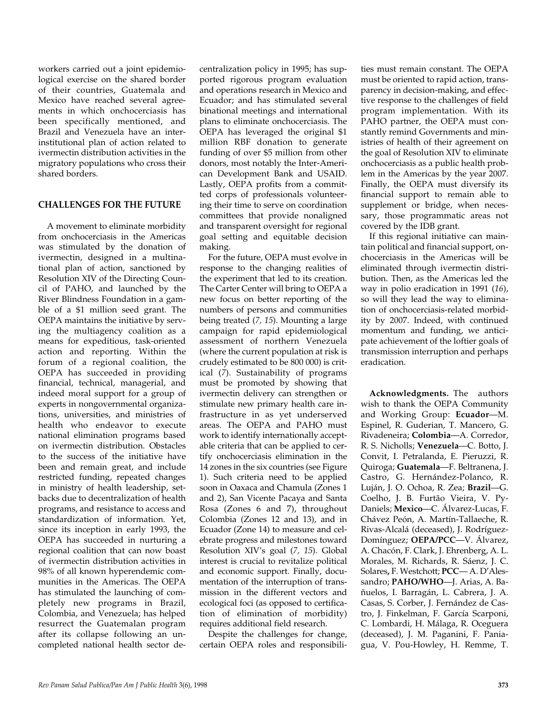workers carried out a joint epidemiological exercise on the shared border of their countries, Guatemala and Mexico have reached several agreements in which onchocerciasis has been specifically mentioned, and Brazil and Venezuela have an interinstitutional plan of action related to ivermectin distribution activities in the migratory populations who cross their shared borders.

# **CHALLENGES FOR THE FUTURE**

A movement to eliminate morbidity from onchocerciasis in the Americas was stimulated by the donation of ivermectin, designed in a multinational plan of action, sanctioned by Resolution XIV of the Directing Council of PAHO, and launched by the River Blindness Foundation in a gamble of a \$1 million seed grant. The OEPA maintains the initiative by serving the multiagency coalition as a means for expeditious, task-oriented action and reporting. Within the forum of a regional coalition, the OEPA has succeeded in providing financial, technical, managerial, and indeed moral support for a group of experts in nongovernmental organizations, universities, and ministries of health who endeavor to execute national elimination programs based on ivermectin distribution. Obstacles to the success of the initiative have been and remain great, and include restricted funding, repeated changes in ministry of health leadership, setbacks due to decentralization of health programs, and resistance to access and standardization of information. Yet, since its inception in early 1993, the OEPA has succeeded in nurturing a regional coalition that can now boast of ivermectin distribution activities in 98% of all known hyperendemic communities in the Americas. The OEPA has stimulated the launching of completely new programs in Brazil, Colombia, and Venezuela; has helped resurrect the Guatemalan program after its collapse following an uncompleted national health sector de-

centralization policy in 1995; has supported rigorous program evaluation and operations research in Mexico and Ecuador; and has stimulated several binational meetings and international plans to eliminate onchocerciasis. The OEPA has leveraged the original \$1 million RBF donation to generate funding of over \$5 million from other donors, most notably the Inter-American Development Bank and USAID. Lastly, OEPA profits from a committed corps of professionals volunteering their time to serve on coordination committees that provide nonaligned and transparent oversight for regional goal setting and equitable decision making.

For the future, OEPA must evolve in response to the changing realities of the experiment that led to its creation. The Carter Center will bring to OEPA a new focus on better reporting of the numbers of persons and communities being treated (*7, 15*). Mounting a large campaign for rapid epidemiological assessment of northern Venezuela (where the current population at risk is crudely estimated to be 800 000) is critical (*7*). Sustainability of programs must be promoted by showing that ivermectin delivery can strengthen or stimulate new primary health care infrastructure in as yet underserved areas. The OEPA and PAHO must work to identify internationally acceptable criteria that can be applied to certify onchocerciasis elimination in the 14 zones in the six countries (see Figure 1). Such criteria need to be applied soon in Oaxaca and Chamula (Zones 1 and 2), San Vicente Pacaya and Santa Rosa (Zones 6 and 7), throughout Colombia (Zones 12 and 13), and in Ecuador (Zone 14) to measure and celebrate progress and milestones toward Resolution XIV's goal (*7, 15*). Global interest is crucial to revitalize political and economic support. Finally, documentation of the interruption of transmission in the different vectors and ecological foci (as opposed to certification of elimination of morbidity) requires additional field research.

Despite the challenges for change, certain OEPA roles and responsibili-

ties must remain constant. The OEPA must be oriented to rapid action, transparency in decision-making, and effective response to the challenges of field program implementation. With its PAHO partner, the OEPA must constantly remind Governments and ministries of health of their agreement on the goal of Resolution XIV to eliminate onchocerciasis as a public health problem in the Americas by the year 2007. Finally, the OEPA must diversify its financial support to remain able to supplement or bridge, when necessary, those programmatic areas not covered by the IDB grant.

If this regional initiative can maintain political and financial support, onchocerciasis in the Americas will be eliminated through ivermectin distribution. Then, as the Americas led the way in polio eradication in 1991 (*16*), so will they lead the way to elimination of onchocerciasis-related morbidity by 2007. Indeed, with continued momentum and funding, we anticipate achievement of the loftier goals of transmission interruption and perhaps eradication.

**Acknowledgments.** The authors wish to thank the OEPA Community and Working Group: **Ecuador**—M. Espinel, R. Guderian, T. Mancero, G. Rivadeneira; **Colombia**—A. Corredor, R. S. Nicholls; **Venezuela**—C. Botto, J. Convit, I. Petralanda, E. Pieruzzi, R. Quiroga; **Guatemala**—F. Beltranena, J. Castro, G. Hernández-Polanco, R. Luján, J. O. Ochoa, R. Zea; **Brazil**—G. Coelho, J. B. Furtão Vieira, V. Py-Daniels; **Mexico**—C. Álvarez-Lucas, F. Chávez Peón, A. Martín-Tallaeche, R. Rivas-Alcalá (deceased), J. Rodríguez-Domínguez; **OEPA/PCC**—V. Álvarez, A. Chacón, F. Clark, J. Ehrenberg, A. L. Morales, M. Richards, R. Sáenz, J. C. Solares**,** F. Westchott; **PCC**— A. D'Alessandro; **PAHO/WHO**—J. Arias, A. Bañuelos, I. Barragán, L. Cabrera, J. A. Casas, S. Corber, J. Fernández de Castro, J. Finkelman, F. García Scarponi, C. Lombardi, H. Málaga, R. Oceguera (deceased), J. M. Paganini, F. Paniagua, V. Pou-Howley, H. Remme, T.